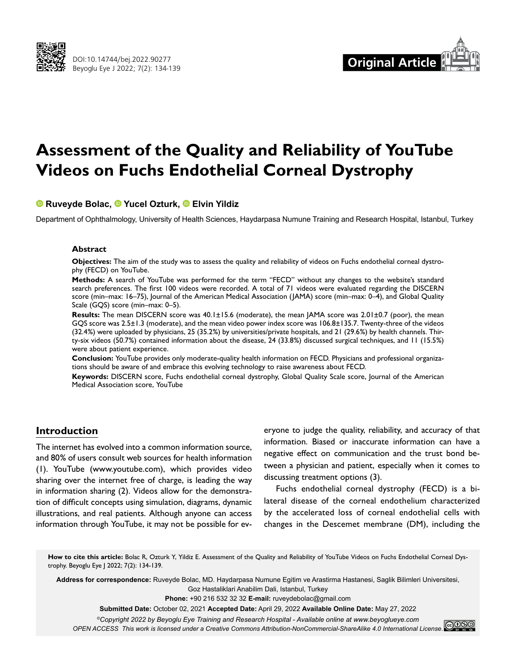



# **Assessment of the Quality and Reliability of YouTube Videos on Fuchs Endothelial Corneal Dystrophy**

# **Ruveyde Bolac,Yucel Ozturk,Elvin Yildiz**

Department of Ophthalmology, University of Health Sciences, Haydarpasa Numune Training and Research Hospital, Istanbul, Turkey

#### **Abstract**

**Objectives:** The aim of the study was to assess the quality and reliability of videos on Fuchs endothelial corneal dystrophy (FECD) on YouTube.

**Methods:** A search of YouTube was performed for the term "FECD" without any changes to the website's standard search preferences. The first 100 videos were recorded. A total of 71 videos were evaluated regarding the DISCERN score (min–max: 16–75), Journal of the American Medical Association (JAMA) score (min–max: 0–4), and Global Quality Scale (GQS) score (min–max: 0–5).

**Results:** The mean DISCERN score was 40.1±15.6 (moderate), the mean JAMA score was 2.01±0.7 (poor), the mean GQS score was 2.5±1.3 (moderate), and the mean video power index score was 106.8±135.7. Twenty-three of the videos (32.4%) were uploaded by physicians, 25 (35.2%) by universities/private hospitals, and 21 (29.6%) by health channels. Thirty-six videos (50.7%) contained information about the disease, 24 (33.8%) discussed surgical techniques, and 11 (15.5%) were about patient experience.

**Conclusion:** YouTube provides only moderate-quality health information on FECD. Physicians and professional organizations should be aware of and embrace this evolving technology to raise awareness about FECD.

**Keywords:** DISCERN score, Fuchs endothelial corneal dystrophy, Global Quality Scale score, Journal of the American Medical Association score, YouTube

# **Introduction**

The internet has evolved into a common information source, and 80% of users consult web sources for health information (1). YouTube (www.youtube.com), which provides video sharing over the internet free of charge, is leading the way in information sharing (2). Videos allow for the demonstration of difficult concepts using simulation, diagrams, dynamic illustrations, and real patients. Although anyone can access information through YouTube, it may not be possible for ev-

eryone to judge the quality, reliability, and accuracy of that information. Biased or inaccurate information can have a negative effect on communication and the trust bond between a physician and patient, especially when it comes to discussing treatment options (3).

Fuchs endothelial corneal dystrophy (FECD) is a bilateral disease of the corneal endothelium characterized by the accelerated loss of corneal endothelial cells with changes in the Descemet membrane (DM), including the

**How to cite this article:** Bolac R, Ozturk Y, Yildiz E. Assessment of the Quality and Reliability of YouTube Videos on Fuchs Endothelial Corneal Dystrophy. Beyoglu Eye J 2022; 7(2): 134-139.

**Address for correspondence:** Ruveyde Bolac, MD. Haydarpasa Numune Egitim ve Arastirma Hastanesi, Saglik Bilimleri Universitesi, Goz Hastaliklari Anabilim Dali, Istanbul, Turkey

**Phone:** +90 216 532 32 32 **E-mail:** ruveydebolac@gmail.com

**Submitted Date:** October 02, 2021 **Accepted Date:** April 29, 2022 **Available Online Date:** May 27, 2022

*©Copyright 2022 by Beyoglu Eye Training and Research Hospital - Available online at www.beyoglueye.com*

*OPEN ACCESS This work is licensed under a Creative Commons Attribution-NonCommercial-ShareAlike 4.0 International License.*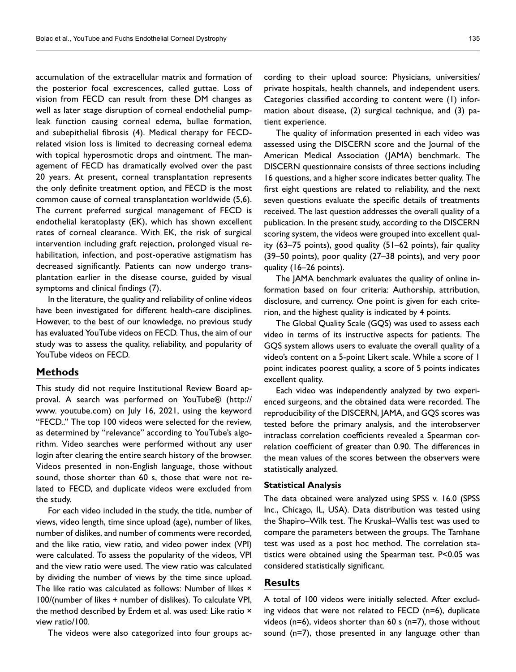accumulation of the extracellular matrix and formation of the posterior focal excrescences, called guttae. Loss of vision from FECD can result from these DM changes as well as later stage disruption of corneal endothelial pumpleak function causing corneal edema, bullae formation, and subepithelial fibrosis (4). Medical therapy for FECDrelated vision loss is limited to decreasing corneal edema with topical hyperosmotic drops and ointment. The management of FECD has dramatically evolved over the past 20 years. At present, corneal transplantation represents the only definite treatment option, and FECD is the most common cause of corneal transplantation worldwide (5,6). The current preferred surgical management of FECD is endothelial keratoplasty (EK), which has shown excellent rates of corneal clearance. With EK, the risk of surgical intervention including graft rejection, prolonged visual rehabilitation, infection, and post-operative astigmatism has decreased significantly. Patients can now undergo transplantation earlier in the disease course, guided by visual symptoms and clinical findings (7).

In the literature, the quality and reliability of online videos have been investigated for different health-care disciplines. However, to the best of our knowledge, no previous study has evaluated YouTube videos on FECD. Thus, the aim of our study was to assess the quality, reliability, and popularity of YouTube videos on FECD.

#### **Methods**

This study did not require Institutional Review Board approval. A search was performed on YouTube® (http:// www. youtube.com) on July 16, 2021, using the keyword "FECD.." The top 100 videos were selected for the review, as determined by "relevance" according to YouTube's algorithm. Video searches were performed without any user login after clearing the entire search history of the browser. Videos presented in non-English language, those without sound, those shorter than 60 s, those that were not related to FECD, and duplicate videos were excluded from the study.

For each video included in the study, the title, number of views, video length, time since upload (age), number of likes, number of dislikes, and number of comments were recorded, and the like ratio, view ratio, and video power index (VPI) were calculated. To assess the popularity of the videos, VPI and the view ratio were used. The view ratio was calculated by dividing the number of views by the time since upload. The like ratio was calculated as follows: Number of likes × 100/(number of likes + number of dislikes). To calculate VPI, the method described by Erdem et al. was used: Like ratio  $\times$ view ratio/100.

The videos were also categorized into four groups ac-

cording to their upload source: Physicians, universities/ private hospitals, health channels, and independent users. Categories classified according to content were (1) information about disease, (2) surgical technique, and (3) patient experience.

The quality of information presented in each video was assessed using the DISCERN score and the Journal of the American Medical Association (JAMA) benchmark. The DISCERN questionnaire consists of three sections including 16 questions, and a higher score indicates better quality. The first eight questions are related to reliability, and the next seven questions evaluate the specific details of treatments received. The last question addresses the overall quality of a publication. In the present study, according to the DISCERN scoring system, the videos were grouped into excellent quality (63–75 points), good quality (51–62 points), fair quality (39–50 points), poor quality (27–38 points), and very poor quality (16–26 points).

The JAMA benchmark evaluates the quality of online information based on four criteria: Authorship, attribution, disclosure, and currency. One point is given for each criterion, and the highest quality is indicated by 4 points.

The Global Quality Scale (GQS) was used to assess each video in terms of its instructive aspects for patients. The GQS system allows users to evaluate the overall quality of a video's content on a 5-point Likert scale. While a score of 1 point indicates poorest quality, a score of 5 points indicates excellent quality.

Each video was independently analyzed by two experienced surgeons, and the obtained data were recorded. The reproducibility of the DISCERN, JAMA, and GQS scores was tested before the primary analysis, and the interobserver intraclass correlation coefficients revealed a Spearman correlation coefficient of greater than 0.90. The differences in the mean values of the scores between the observers were statistically analyzed.

#### **Statistical Analysis**

The data obtained were analyzed using SPSS v. 16.0 (SPSS Inc., Chicago, IL, USA). Data distribution was tested using the Shapiro–Wilk test. The Kruskal–Wallis test was used to compare the parameters between the groups. The Tamhane test was used as a post hoc method. The correlation statistics were obtained using the Spearman test. P<0.05 was considered statistically significant.

## **Results**

A total of 100 videos were initially selected. After excluding videos that were not related to FECD (n=6), duplicate videos (n=6), videos shorter than 60 s (n=7), those without sound (n=7), those presented in any language other than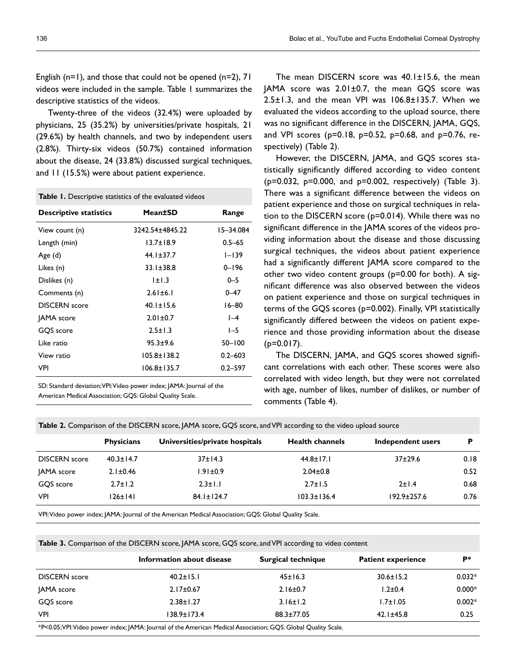English (n=1), and those that could not be opened (n=2), 71 videos were included in the sample. Table 1 summarizes the descriptive statistics of the videos.

Twenty-three of the videos (32.4%) were uploaded by physicians, 25 (35.2%) by universities/private hospitals, 21 (29.6%) by health channels, and two by independent users (2.8%). Thirty-six videos (50.7%) contained information about the disease, 24 (33.8%) discussed surgical techniques, and 11 (15.5%) were about patient experience.

**Table 1.** Descriptive statistics of the evaluated videos

| <b>Descriptive statistics</b> | Mean±SD           | Range       |
|-------------------------------|-------------------|-------------|
| View count (n)                | 3242.54±4845.22   | 15-34.084   |
| Length (min)                  | $13.7 \pm 18.9$   | $0.5 - 65$  |
| Age (d)                       | $44.1 \pm 37.7$   | $1 - 139$   |
| Likes (n)                     | $33.1 \pm 38.8$   | $0 - 196$   |
| Dislikes (n)                  | ± .3              | $0 - 5$     |
| Comments (n)                  | $2.61 \pm 6.1$    | $0 - 47$    |
| <b>DISCERN</b> score          | $40.1 \pm 15.6$   | 16–80       |
| JAMA score                    | $2.01 \pm 0.7$    | $-4$        |
| GOS score                     | $2.5 \pm 1.3$     | $I-5$       |
| Like ratio                    | $95.3 + 9.6$      | $50 - 100$  |
| View ratio                    | $105.8 \pm 138.2$ | $0.2 - 603$ |
| VPI                           | $106.8 \pm 135.7$ | $0.2 - 597$ |
|                               |                   |             |

SD: Standard deviation; VPI: Video power index; JAMA: Journal of the American Medical Association; GQS: Global Quality Scale.

The mean DISCERN score was 40.1±15.6, the mean JAMA score was 2.01±0.7, the mean GQS score was 2.5±1.3, and the mean VPI was 106.8±135.7. When we evaluated the videos according to the upload source, there was no significant difference in the DISCERN, JAMA, GQS, and VPI scores ( $p=0.18$ ,  $p=0.52$ ,  $p=0.68$ , and  $p=0.76$ , respectively) (Table 2).

However, the DISCERN, JAMA, and GQS scores statistically significantly differed according to video content (p=0.032, p=0.000, and p=0.002, respectively) (Table 3). There was a significant difference between the videos on patient experience and those on surgical techniques in relation to the DISCERN score (p=0.014). While there was no significant difference in the JAMA scores of the videos providing information about the disease and those discussing surgical techniques, the videos about patient experience had a significantly different JAMA score compared to the other two video content groups (p=0.00 for both). A significant difference was also observed between the videos on patient experience and those on surgical techniques in terms of the GQS scores (p=0.002). Finally, VPI statistically significantly differed between the videos on patient experience and those providing information about the disease  $(p=0.017)$ .

The DISCERN, JAMA, and GQS scores showed significant correlations with each other. These scores were also correlated with video length, but they were not correlated with age, number of likes, number of dislikes, or number of comments (Table 4).

**Table 2.** Comparison of the DISCERN score, JAMA score, GQS score, and VPI according to the video upload source

| <b>Physicians</b>    |                 | Universities/private hospitals | <b>Health channels</b> | Independent users | D    |  |
|----------------------|-----------------|--------------------------------|------------------------|-------------------|------|--|
| <b>DISCERN</b> score | $40.3 \pm 14.7$ | $37 \pm 14.3$                  | $44.8 \pm 17.1$        | $37+29.6$         | 0.18 |  |
| JAMA score           | $2.1 \pm 0.46$  | $1.91 \pm 0.9$                 | $2.04 \pm 0.8$         |                   | 0.52 |  |
| GOS score            | $2.7 \pm 1.2$   | $2.3 \pm 1.1$                  | $2.7 \pm 1.5$          | 2±1.4             | 0.68 |  |
| VPI                  | $126 \pm 141$   | $84.1 \pm 124.7$               | $103.3 \pm 136.4$      | $192.9 \pm 257.6$ | 0.76 |  |

VPI: Video power index; JAMA: Journal of the American Medical Association; GQS: Global Quality Scale.

**Table 3.** Comparison of the DISCERN score, JAMA score, GQS score, and VPI according to video content

|                      | Information about disease                                                                                      | Surgical technique | <b>Patient experience</b> | P*       |
|----------------------|----------------------------------------------------------------------------------------------------------------|--------------------|---------------------------|----------|
| <b>DISCERN</b> score | $40.2 \pm 15.1$                                                                                                | $45 \pm 16.3$      | $30.6 \pm 15.2$           | $0.032*$ |
| JAMA score           | $2.17 \pm 0.67$                                                                                                | $2.16 \pm 0.7$     | $1.2 \pm 0.4$             | $0.000*$ |
| GOS score            | $2.38 \pm 1.27$                                                                                                | $3.16 \pm 1.2$     | $1.7 \pm 1.05$            | $0.002*$ |
| <b>VPI</b>           | 138.9±173.4                                                                                                    | $88.3 \pm 77.05$   | $42.1 \pm 45.8$           | 0.25     |
|                      | *P<0.05; VPI: Video power index; JAMA: Journal of the American Medical Association; GQS: Global Quality Scale. |                    |                           |          |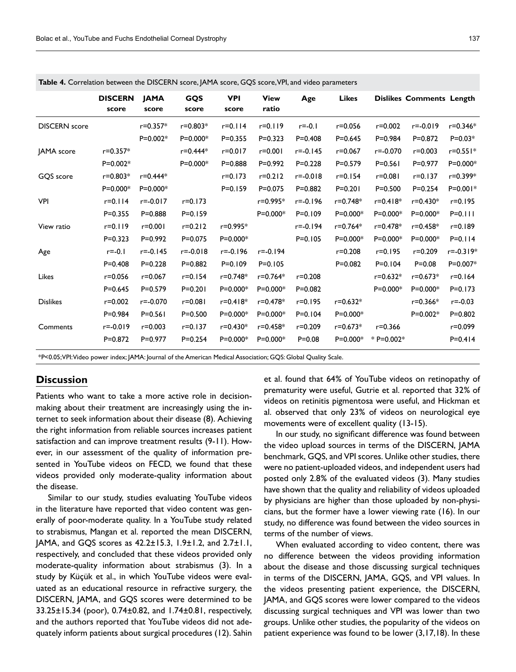|                      | <b>DISCERN</b><br>score | <b>JAMA</b><br>score | GQS<br>score | <b>VPI</b><br>score | <b>View</b><br>ratio | Age          | <b>Likes</b> |                 | <b>Dislikes Comments Length</b> |             |
|----------------------|-------------------------|----------------------|--------------|---------------------|----------------------|--------------|--------------|-----------------|---------------------------------|-------------|
| <b>DISCERN</b> score |                         | $r = 0.357*$         | $r = 0.803*$ | $r = 0.114$         | $r = 0.119$          | $r = -0.1$   | $r = 0.056$  | $r = 0.002$     | $r = -0.019$                    | r=0.346*    |
|                      |                         | $P=0.002*$           | $P = 0.000*$ | $P = 0.355$         | $P = 0.323$          | $P = 0.408$  | $P = 0.645$  | $P = 0.984$     | $P = 0.872$                     | $P = 0.03*$ |
| <b>JAMA</b> score    | $r = 0.357*$            |                      | r=0.444*     | $r = 0.017$         | $r = 0.001$          | $r = -0.145$ | $r = 0.067$  | r=-0.070        | $r = 0.003$                     | r=0.551*    |
|                      | $P=0.002*$              |                      | $P=0.000*$   | $P = 0.888$         | $P=0.992$            | $P = 0.228$  | $P = 0.579$  | $P = 0.561$     | $P = 0.977$                     | P=0.000*    |
| GOS score            | $r = 0.803*$            | $r = 0.444*$         |              | $r = 0.173$         | $r = 0.212$          | $r = -0.018$ | $r = 0.154$  | $r = 0.081$     | $r = 0.137$                     | r=0.399*    |
|                      | $P = 0.000*$            | P=0.000*             |              | $P=0.159$           | $P = 0.075$          | $P = 0.882$  | $P = 0.201$  | $P = 0.500$     | $P = 0.254$                     | P=0.001*    |
| <b>VPI</b>           | $r = 0.114$             | $r = -0.017$         | $r = 0.173$  |                     | r=0.995*             | $r = -0.196$ | r=0.748*     | $r = 0.418*$    | $r = 0.430*$                    | r=0.195     |
|                      | $P = 0.355$             | $P = 0.888$          | $P = 0.159$  |                     | $P=0.000*$           | $P=0.109$    | $P=0.000*$   | P=0.000*        | $P=0.000*$                      | $P = 0.111$ |
| View ratio           | $r = 0.119$             | $r = 0.001$          | $r = 0.212$  | r=0.995*            |                      | $r = -0.194$ | r=0.764*     | r=0.478*        | r=0.458*                        | r=0.189     |
|                      | $P = 0.323$             | $P=0.992$            | $P = 0.075$  | P=0.000*            |                      | $P = 0.105$  | P=0.000*     | P=0.000*        | $P=0.000*$                      | $P = 0.114$ |
| Age                  | $r = -0.1$              | $r = -0.145$         | $r = -0.018$ | $r = -0.196$        | $r = -0.194$         |              | $r = 0.208$  | $r = 0.195$     | r=0.209                         | r=-0.319*   |
|                      | $P = 0.408$             | $P = 0.228$          | $P = 0.882$  | $P = 0.109$         | $P=0.105$            |              | $P=0.082$    | $P = 0.104$     | $P = 0.08$                      | P=0.007*    |
| Likes                | $r = 0.056$             | $r = 0.067$          | r=0.154      | r=0.748*            | r=0.764*             | $r = 0.208$  |              | $r = 0.632*$    | r=0.673*                        | $r = 0.164$ |
|                      | $P = 0.645$             | $P = 0.579$          | $P = 0.201$  | $P = 0.000*$        | P=0.000*             | $P = 0.082$  |              | P=0.000*        | P=0.000*                        | $P = 0.173$ |
| <b>Dislikes</b>      | $r = 0.002$             | $r = -0.070$         | r=0.081      | $r = 0.418*$        | r=0.478*             | $r = 0.195$  | $r = 0.632*$ |                 | $r = 0.366*$                    | $r = -0.03$ |
|                      | $P = 0.984$             | $P = 0.561$          | $P = 0.500$  | $P=0.000*$          | $P=0.000*$           | $P = 0.104$  | $P=0.000*$   |                 | $P=0.002*$                      | $P = 0.802$ |
| Comments             | $r = -0.019$            | $r = 0.003$          | $r = 0.137$  | r=0.430*            | r=0.458*             | $r = 0.209$  | $r = 0.673*$ | $r = 0.366$     |                                 | $r = 0.099$ |
|                      | $P = 0.872$             | $P=0.977$            | $P = 0.254$  | P=0.000*            | P=0.000*             | $P = 0.08$   | $P=0.000*$   | $*$ P=0.002 $*$ |                                 | $P = 0.414$ |
|                      |                         |                      |              |                     |                      |              |              |                 |                                 |             |

**Table 4.** Correlation between the DISCERN score, JAMA score, GOS score, VPL and video parameters

\*P<0.05; VPI: Video power index; JAMA: Journal of the American Medical Association; GQS: Global Quality Scale.

#### **Discussion**

Patients who want to take a more active role in decisionmaking about their treatment are increasingly using the internet to seek information about their disease (8). Achieving the right information from reliable sources increases patient satisfaction and can improve treatment results (9-11). However, in our assessment of the quality of information presented in YouTube videos on FECD, we found that these videos provided only moderate-quality information about the disease.

Similar to our study, studies evaluating YouTube videos in the literature have reported that video content was generally of poor-moderate quality. In a YouTube study related to strabismus, Mangan et al. reported the mean DISCERN, JAMA, and GQS scores as 42.2±15.3, 1.9±1.2, and 2.7±1.1, respectively, and concluded that these videos provided only moderate-quality information about strabismus (3). In a study by Küçük et al., in which YouTube videos were evaluated as an educational resource in refractive surgery, the DISCERN, JAMA, and GQS scores were determined to be 33.25±15.34 (poor), 0.74±0.82, and 1.74±0.81, respectively, and the authors reported that YouTube videos did not adequately inform patients about surgical procedures (12). Sahin et al. found that 64% of YouTube videos on retinopathy of prematurity were useful, Gutrie et al. reported that 32% of videos on retinitis pigmentosa were useful, and Hickman et al. observed that only 23% of videos on neurological eye movements were of excellent quality (13-15).

In our study, no significant difference was found between the video upload sources in terms of the DISCERN, JAMA benchmark, GQS, and VPI scores. Unlike other studies, there were no patient-uploaded videos, and independent users had posted only 2.8% of the evaluated videos (3). Many studies have shown that the quality and reliability of videos uploaded by physicians are higher than those uploaded by non-physicians, but the former have a lower viewing rate (16). In our study, no difference was found between the video sources in terms of the number of views.

When evaluated according to video content, there was no difference between the videos providing information about the disease and those discussing surgical techniques in terms of the DISCERN, JAMA, GQS, and VPI values. In the videos presenting patient experience, the DISCERN, JAMA, and GQS scores were lower compared to the videos discussing surgical techniques and VPI was lower than two groups. Unlike other studies, the popularity of the videos on patient experience was found to be lower (3,17,18). In these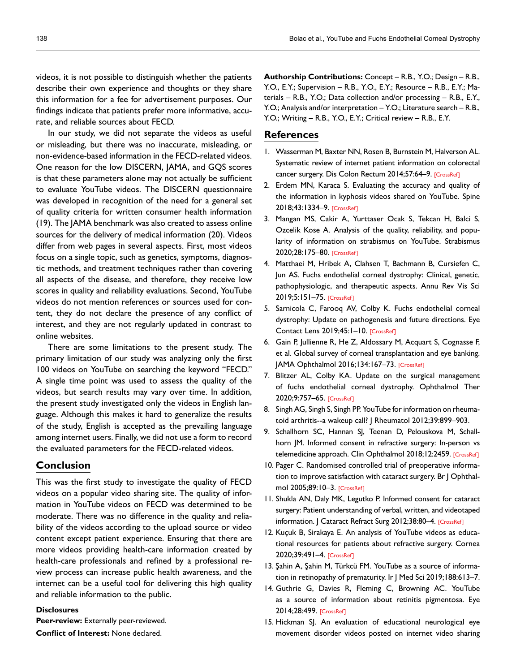videos, it is not possible to distinguish whether the patients describe their own experience and thoughts or they share this information for a fee for advertisement purposes. Our findings indicate that patients prefer more informative, accurate, and reliable sources about FECD.

In our study, we did not separate the videos as useful or misleading, but there was no inaccurate, misleading, or non-evidence-based information in the FECD-related videos. One reason for the low DISCERN, JAMA, and GQS scores is that these parameters alone may not actually be sufficient to evaluate YouTube videos. The DISCERN questionnaire was developed in recognition of the need for a general set of quality criteria for written consumer health information (19). The JAMA benchmark was also created to assess online sources for the delivery of medical information (20). Videos differ from web pages in several aspects. First, most videos focus on a single topic, such as genetics, symptoms, diagnostic methods, and treatment techniques rather than covering all aspects of the disease, and therefore, they receive low scores in quality and reliability evaluations. Second, YouTube videos do not mention references or sources used for content, they do not declare the presence of any conflict of interest, and they are not regularly updated in contrast to online websites.

There are some limitations to the present study. The primary limitation of our study was analyzing only the first 100 videos on YouTube on searching the keyword "FECD." A single time point was used to assess the quality of the videos, but search results may vary over time. In addition, the present study investigated only the videos in English language. Although this makes it hard to generalize the results of the study, English is accepted as the prevailing language among internet users. Finally, we did not use a form to record the evaluated parameters for the FECD-related videos.

## **Conclusion**

This was the first study to investigate the quality of FECD videos on a popular video sharing site. The quality of information in YouTube videos on FECD was determined to be moderate. There was no difference in the quality and reliability of the videos according to the upload source or video content except patient experience. Ensuring that there are more videos providing health-care information created by health-care professionals and refined by a professional review process can increase public health awareness, and the internet can be a useful tool for delivering this high quality and reliable information to the public.

#### **Disclosures**

**Peer-review:** Externally peer-reviewed.

**Conflict of Interest:** None declared.

**Authorship Contributions:** Concept – R.B., Y.O.; Design – R.B., Y.O., E.Y.; Supervision – R.B., Y.O., E.Y.; Resource – R.B., E.Y.; Materials – R.B., Y.O.; Data collection and/or processing – R.B., E.Y., Y.O.; Analysis and/or interpretation – Y.O.; Literature search – R.B., Y.O.; Writing – R.B., Y.O., E.Y.; Critical review – R.B., E.Y.

## **References**

- 1. Wasserman M, Baxter NN, Rosen B, Burnstein M, Halverson AL. Systematic review of internet patient information on colorectal cancer surgery. Dis Colon Rectum 2014;57:64–[9. \[CrossRef\]](https://doi.org/10.1097/DCR.0000000000000011)
- 2. Erdem MN, Karaca S. Evaluating the accuracy and quality of the information in kyphosis videos shared on YouTube. Spine 2018;43:1334–[9. \[CrossRef\]](https://doi.org/10.1097/BRS.0000000000002691)
- 3. Mangan MS, Cakir A, Yurttaser Ocak S, Tekcan H, Balci S, Ozcelik Kose A. Analysis of the quality, reliability, and popularity of information on strabismus on YouTube. Strabismus 2020;28:175–8[0. \[CrossRef\]](https://doi.org/10.1080/09273972.2020.1836002)
- 4. Matthaei M, Hribek A, Clahsen T, Bachmann B, Cursiefen C, Jun AS. Fuchs endothelial corneal dystrophy: Clinical, genetic, pathophysiologic, and therapeutic aspects. Annu Rev Vis Sci 2019;5:151–75[. \[CrossRef\]](https://doi.org/10.1146/annurev-vision-091718-014852)
- 5. Sarnicola C, Farooq AV, Colby K. Fuchs endothelial corneal dystrophy: Update on pathogenesis and future directions. Eye Contact Lens 2019;45:1–1[0. \[CrossRef\]](https://doi.org/10.1097/ICL.0000000000000469)
- 6. Gain P, Jullienne R, He Z, Aldossary M, Acquart S, Cognasse F, et al. Global survey of corneal transplantation and eye banking. JAMA Ophthalmol 2016;134:167–7[3. \[CrossRef\]](https://doi.org/10.1001/jamaophthalmol.2015.4776)
- 7. Blitzer AL, Colby KA. Update on the surgical management of fuchs endothelial corneal dystrophy. Ophthalmol Ther 2020;9:757–6[5. \[CrossRef\]](https://doi.org/10.1007/s40123-020-00293-3)
- 8. Singh AG, Singh S, Singh PP. YouTube for information on rheumatoid arthritis--a wakeup call? J Rheumatol 20[12;39:899–903.](https://doi.org/10.3899/jrheum.111114)
- 9. Schallhorn SC, Hannan SJ, Teenan D, Pelouskova M, Schallhorn JM. Informed consent in refractive surgery: In-person vs telemedicine approach. Clin Ophthalmol 2018;12:245[9. \[CrossRef\]](https://doi.org/10.2147/OPTH.S183249)
- 10. Pager C. Randomised controlled trial of preoperative information to improve satisfaction with cataract surgery. Br J Ophthalmol 2005;89:10[–3. \[CrossRef\]](https://doi.org/10.1136/bjo.2004.048637)
- 11. Shukla AN, Daly MK, Legutko P. Informed consent for cataract surgery: Patient understanding of verbal, written, and videotaped information. | Cataract Refract Surg 2012;38:80-[4. \[CrossRef\]](https://doi.org/10.1016/j.jcrs.2011.07.030)
- 12. Kuçuk B, Sirakaya E. An analysis of YouTube videos as educational resources for patients about refractive surgery. Cornea 2020;39:491–[4. \[CrossRef\]](https://doi.org/10.1097/ICO.0000000000002237)
- 13. Şahin A, Şahin M, Türkcü FM. YouTube as a source of information in retinopathy of prematurity. Ir J Med Sci [2019;188:613–7.](https://doi.org/10.1007/s11845-018-1902-2)
- 14. Guthrie G, Davies R, Fleming C, Browning AC. YouTube as a source of information about retinitis pigmentosa. Eye 2014;28:499[. \[CrossRef\]](https://doi.org/10.1038/eye.2013.312)
- 15. Hickman SJ. An evaluation of educational neurological eye movement disorder videos posted on internet video sharing